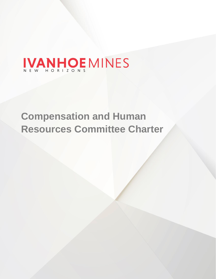# IVANHOE MINES

# **Compensation and Human Resources Committee Charter**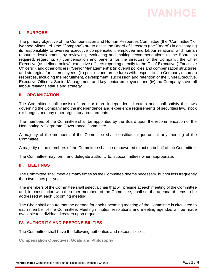

# **I. PURPOSE**

The primary objective of the Compensation and Human Resources Committee (the "Committee") of Ivanhoe Mines Ltd. (the "Company") are to assist the Board of Directors (the "Board") in discharging its responsibility to oversee executive compensation, employee and labour relations, and human resource development, by reviewing, evaluating and making recommendations to the Board, as required, regarding: (i) compensation and benefits for the directors of the Company, the Chief Executive (as defined below), executive officers reporting directly to the Chief Executive ("Executive Officers"), and other officers ("Senior Management"); (ii) overall policies and compensation structures and strategies for its employees, (iii) policies and procedures with respect to the Company's human resources, including the recruitment, development, succession and retention of the Chief Executive, Executive Officers, Senior Management and key senior employees; and (iv) the Company's overall labour relations status and strategy.

# **II. ORGANIZATION**

The Committee shall consist of three or more independent directors and shall satisfy the laws governing the Company and the independence and experience requirements of securities law, stock exchanges and any other regulatory requirements.

The members of the Committee shall be appointed by the Board upon the recommendation of the Nominating & Corporate Governance Committee.

A majority of the members of the Committee shall constitute a quorum at any meeting of the Committee.

A majority of the members of the Committee shall be empowered to act on behalf of the Committee.

The Committee may form, and delegate authority to, subcommittees when appropriate.

# **III. MEETINGS**

The Committee shall meet as many times as the Committee deems necessary, but not less frequently than two times per year.

The members of the Committee shall select a chair that will preside at each meeting of the Committee and, in consultation with the other members of the Committee, shall set the agenda of items to be addressed at each upcoming meeting.

The Chair shall ensure that the agenda for each upcoming meeting of the Committee is circulated to each member of the Committee. Meeting minutes, resolutions and meeting agendas will be made available to individual directors upon request.

# **IV. AUTHORITY AND RESPONSIBILITIES**

The Committee shall have the following authorities and responsibilities:

**Compensation Objectives, Goals and Philosophy**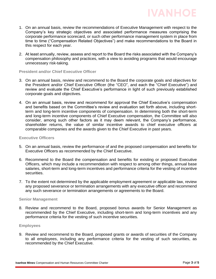

**IVANHOE** 

2. At least annually, review, assess and report to the Board the risks associated with the Company's compensation philosophy and practices, with a view to avoiding programs that would encourage unnecessary risk-taking.

#### **President and/or Chief Executive Officer**

- 3. On an annual basis, review and recommend to the Board the corporate goals and objectives for the President and/or Chief Executive Officer (the "CEO", and each the "Chief Executive") and review and evaluate the Chief Executive's performance in light of such previously established corporate goals and objectives.
- 4. On an annual basis, review and recommend for approval the Chief Executive's compensation and benefits based on the Committee's review and evaluation set forth above, including shortterm and long-term incentive components of compensation. In determining both the short-term and long-term incentive components of Chief Executive compensation, the Committee will also consider, among such other factors as it may deem relevant, the Company's performance, shareholder returns, the value of similar incentive awards to chief executive officers at comparable companies and the awards given to the Chief Executive in past years.

## **Executive Officers**

- 5. On an annual basis, review the performance of and the proposed compensation and benefits for Executive Officers as recommended by the Chief Executive.
- 6. Recommend to the Board the compensation and benefits for existing or proposed Executive Officers, which may include a recommendation with respect to among other things, annual base salaries, short-term and long-term incentives and performance criteria for the vesting of incentive securities.
- 7. To the extent not determined by the applicable employment agreement or applicable law, review any proposed severance or termination arrangements with any executive officer and recommend any such severance or termination arrangements or agreements to the Board.

#### **Senior Management**

8. Review and recommend to the Board, proposed bonus awards for Senior Management as recommended by the Chief Executive, including short-term and long-term incentives and any performance criteria for the vesting of such incentive securities.

#### **Employees**

9. Review and recommend to the Board, proposed grants or awards of securities of the Company to all employees, including any performance criteria for the vesting of such securities, as recommended by the Chief Executive.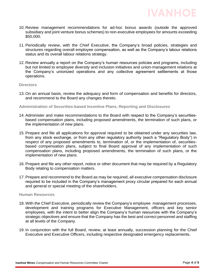

- 10. Review management recommendations for ad-hoc bonus awards (outside the approved subsidiary and joint venture bonus schemes) to non-executive employees for amounts exceeding \$50,000.
- 11. Periodically review, with the Chief Executive, the Company's broad policies, strategies and structures regarding overall employee compensation, as well as the Company's labour relations status and its overall labour relations strategy.
- 12. Review annually a report on the Company's human resources policies and programs, including but not limited to employee diversity and inclusion initiatives and union-management relations at the Company's unionized operations and any collective agreement settlements at those operations.

#### **Directors**

13. On an annual basis, review the adequacy and form of compensation and benefits for directors, and recommend to the Board any changes thereto.

#### **Administration of Securities-based Incentive Plans, Reporting and Disclosures**

- 14. Administer and make recommendations to the Board with respect to the Company's securitiesbased compensation plans, including proposed amendments, the termination of such plans, or the implementation of new plans.
- 15. Prepare and file all applications for approval required to be obtained under any securities law, from any stock exchange, or from any other regulatory authority (each a "Regulatory Body") in respect of any proposed amendments to, termination of, or the implementation of, securitiesbased compensation plans, subject to final Board approval of any implementation of such compensation plans, including proposed amendments, the termination of such plans, or the implementation of new plans.
- 16. Prepare and file any other report, notice or other document that may be required by a Regulatory Body relating to compensation matters.
- 17. Prepare and recommend to the Board as may be required, all executive compensation disclosure required to be included in the Company's management proxy circular prepared for each annual and general or special meeting of the shareholders.

#### **Human Resources**

- 18. With the Chief Executive, periodically review the Company's employee management processes, development and training programs for Executive Management, officers and key senior employees, with the intent to better align the Company's human resources with the Company's strategic objectives and ensure that the Company has the best and correct personnel and staffing at all levels of the Company.
- 19. In conjunction with the full Board, review, at least annually, succession planning for the Chief Executive and Executive Officers, including respective designated emergency replacements.